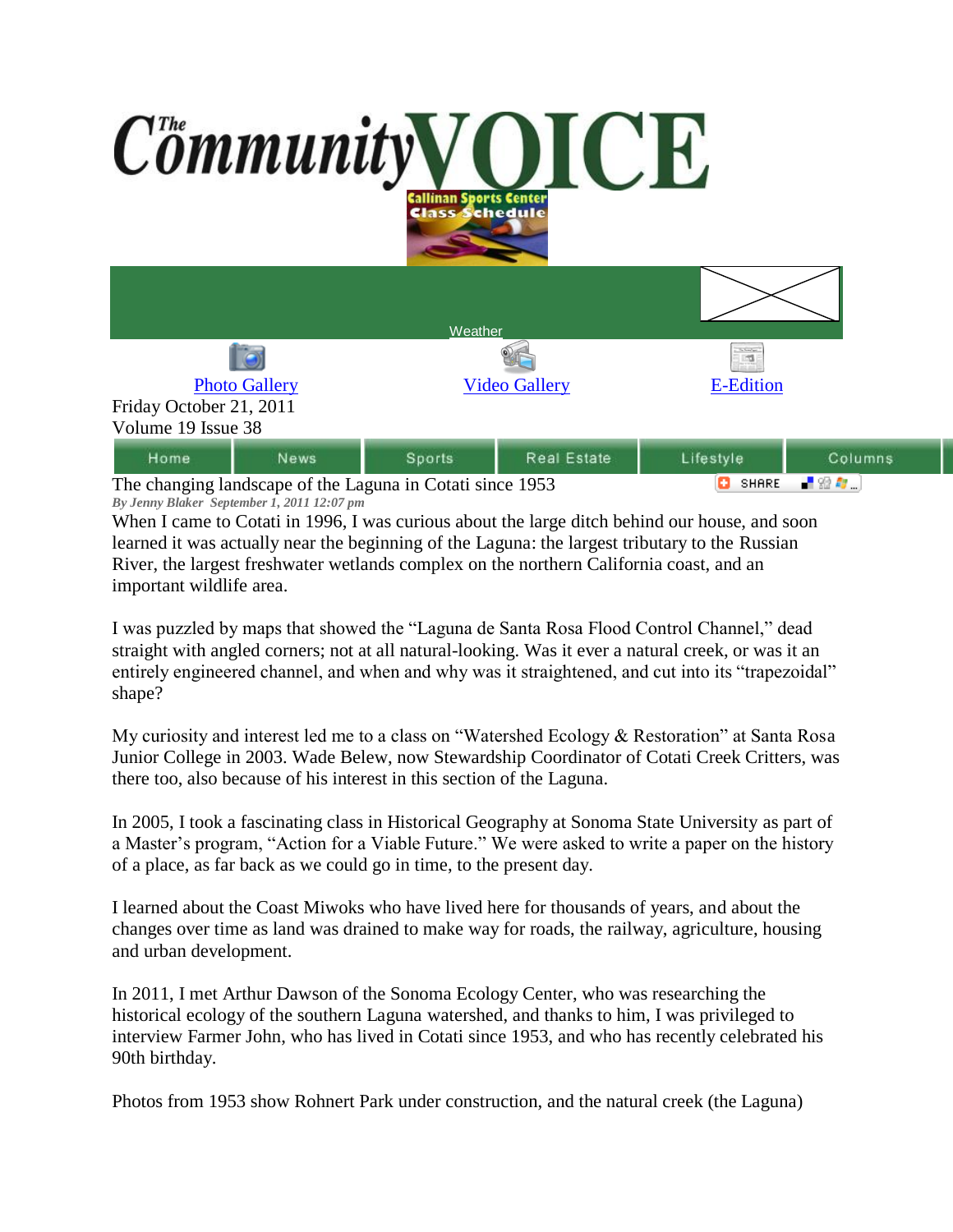

The changing landscape of the Laguna in Cotati since 1953 *By Jenny Blaker September 1, 2011 12:07 pm*

When I came to Cotati in 1996, I was curious about the large ditch behind our house, and soon learned it was actually near the beginning of the Laguna: the largest tributary to the Russian River, the largest freshwater wetlands complex on the northern California coast, and an important wildlife area.

I was puzzled by maps that showed the "Laguna de Santa Rosa Flood Control Channel," dead straight with angled corners; not at all natural-looking. Was it ever a natural creek, or was it an entirely engineered channel, and when and why was it straightened, and cut into its "trapezoidal" shape?

My curiosity and interest led me to a class on "Watershed Ecology & Restoration" at Santa Rosa Junior College in 2003. Wade Belew, now Stewardship Coordinator of Cotati Creek Critters, was there too, also because of his interest in this section of the Laguna.

In 2005, I took a fascinating class in Historical Geography at Sonoma State University as part of a Master's program, "Action for a Viable Future." We were asked to write a paper on the history of a place, as far back as we could go in time, to the present day.

I learned about the Coast Miwoks who have lived here for thousands of years, and about the changes over time as land was drained to make way for roads, the railway, agriculture, housing and urban development.

In 2011, I met Arthur Dawson of the Sonoma Ecology Center, who was researching the historical ecology of the southern Laguna watershed, and thanks to him, I was privileged to interview Farmer John, who has lived in Cotati since 1953, and who has recently celebrated his 90th birthday.

Photos from 1953 show Rohnert Park under construction, and the natural creek (the Laguna)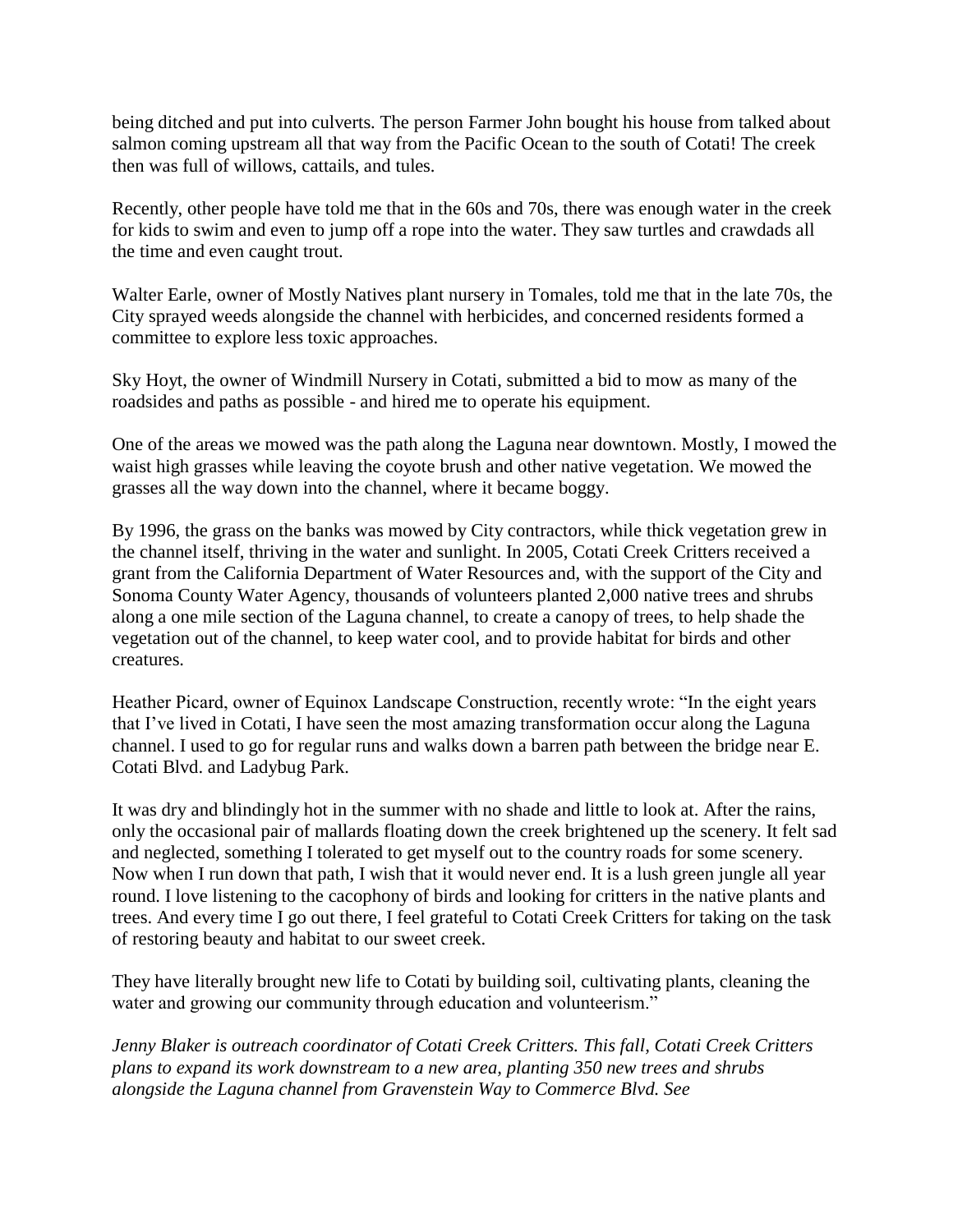being ditched and put into culverts. The person Farmer John bought his house from talked about salmon coming upstream all that way from the Pacific Ocean to the south of Cotati! The creek then was full of willows, cattails, and tules.

Recently, other people have told me that in the 60s and 70s, there was enough water in the creek for kids to swim and even to jump off a rope into the water. They saw turtles and crawdads all the time and even caught trout.

Walter Earle, owner of Mostly Natives plant nursery in Tomales, told me that in the late 70s, the City sprayed weeds alongside the channel with herbicides, and concerned residents formed a committee to explore less toxic approaches.

Sky Hoyt, the owner of Windmill Nursery in Cotati, submitted a bid to mow as many of the roadsides and paths as possible - and hired me to operate his equipment.

One of the areas we mowed was the path along the Laguna near downtown. Mostly, I mowed the waist high grasses while leaving the coyote brush and other native vegetation. We mowed the grasses all the way down into the channel, where it became boggy.

By 1996, the grass on the banks was mowed by City contractors, while thick vegetation grew in the channel itself, thriving in the water and sunlight. In 2005, Cotati Creek Critters received a grant from the California Department of Water Resources and, with the support of the City and Sonoma County Water Agency, thousands of volunteers planted 2,000 native trees and shrubs along a one mile section of the Laguna channel, to create a canopy of trees, to help shade the vegetation out of the channel, to keep water cool, and to provide habitat for birds and other creatures.

Heather Picard, owner of Equinox Landscape Construction, recently wrote: "In the eight years that I've lived in Cotati, I have seen the most amazing transformation occur along the Laguna channel. I used to go for regular runs and walks down a barren path between the bridge near E. Cotati Blvd. and Ladybug Park.

It was dry and blindingly hot in the summer with no shade and little to look at. After the rains, only the occasional pair of mallards floating down the creek brightened up the scenery. It felt sad and neglected, something I tolerated to get myself out to the country roads for some scenery. Now when I run down that path, I wish that it would never end. It is a lush green jungle all year round. I love listening to the cacophony of birds and looking for critters in the native plants and trees. And every time I go out there, I feel grateful to Cotati Creek Critters for taking on the task of restoring beauty and habitat to our sweet creek.

They have literally brought new life to Cotati by building soil, cultivating plants, cleaning the water and growing our community through education and volunteerism."

*Jenny Blaker is outreach coordinator of Cotati Creek Critters. This fall, Cotati Creek Critters plans to expand its work downstream to a new area, planting 350 new trees and shrubs alongside the Laguna channel from Gravenstein Way to Commerce Blvd. See*